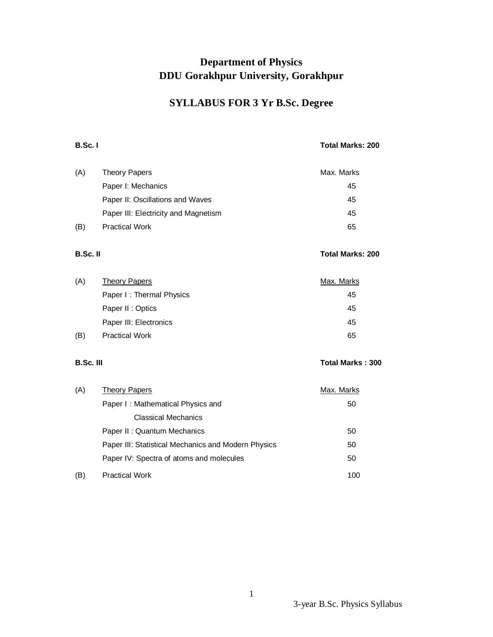## **Department of Physics DDU Gorakhpur University, Gorakhpur**

## **SYLLABUS FOR 3 Yr B.Sc. Degree**

## **B.Sc. I Total Marks: 200**

| (A) | Theory Papers                        | Max. Marks |
|-----|--------------------------------------|------------|
|     | Paper I: Mechanics                   | 45         |
|     | Paper II: Oscillations and Waves     | 45         |
|     | Paper III: Electricity and Magnetism | 45         |
| (B) | <b>Practical Work</b>                | 65         |

## **B.Sc. II** Total Marks: 200

| (A) | Theory Papers            | Max. Marks |
|-----|--------------------------|------------|
|     | Paper I: Thermal Physics | 45         |
|     | Paper II : Optics        | 45         |
|     | Paper III: Electronics   | 45         |
| (B) | <b>Practical Work</b>    | 65         |

## **B.Sc. III** Total Marks : 300

| (A) | <b>Theory Papers</b>                                | Max. Marks |
|-----|-----------------------------------------------------|------------|
|     | Paper I: Mathematical Physics and                   | 50         |
|     | <b>Classical Mechanics</b>                          |            |
|     | Paper II: Quantum Mechanics                         | 50         |
|     | Paper III: Statistical Mechanics and Modern Physics | 50         |
|     | Paper IV: Spectra of atoms and molecules            | 50         |
| (B) | <b>Practical Work</b>                               | 100        |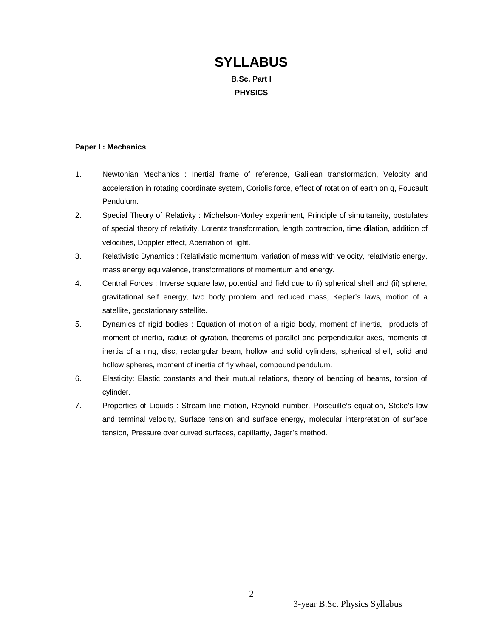# **SYLLABUS B.Sc. Part I PHYSICS**

#### **Paper I : Mechanics**

- 1. Newtonian Mechanics : Inertial frame of reference, Galilean transformation, Velocity and acceleration in rotating coordinate system, Coriolis force, effect of rotation of earth on g, Foucault Pendulum.
- 2. Special Theory of Relativity : Michelson-Morley experiment, Principle of simultaneity, postulates of special theory of relativity, Lorentz transformation, length contraction, time dilation, addition of velocities, Doppler effect, Aberration of light.
- 3. Relativistic Dynamics : Relativistic momentum, variation of mass with velocity, relativistic energy, mass energy equivalence, transformations of momentum and energy.
- 4. Central Forces : Inverse square law, potential and field due to (i) spherical shell and (ii) sphere, gravitational self energy, two body problem and reduced mass, Kepler's laws, motion of a satellite, geostationary satellite.
- 5. Dynamics of rigid bodies : Equation of motion of a rigid body, moment of inertia, products of moment of inertia, radius of gyration, theorems of parallel and perpendicular axes, moments of inertia of a ring, disc, rectangular beam, hollow and solid cylinders, spherical shell, solid and hollow spheres, moment of inertia of fly wheel, compound pendulum.
- 6. Elasticity: Elastic constants and their mutual relations, theory of bending of beams, torsion of cylinder.
- 7. Properties of Liquids : Stream line motion, Reynold number, Poiseuille's equation, Stoke's law and terminal velocity, Surface tension and surface energy, molecular interpretation of surface tension, Pressure over curved surfaces, capillarity, Jager's method.

3-year B.Sc. Physics Syllabus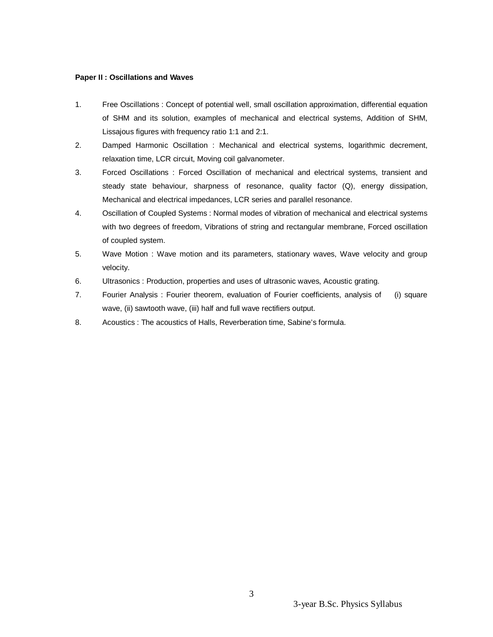## **Paper II : Oscillations and Waves**

- 1. Free Oscillations : Concept of potential well, small oscillation approximation, differential equation of SHM and its solution, examples of mechanical and electrical systems, Addition of SHM, Lissajous figures with frequency ratio 1:1 and 2:1.
- 2. Damped Harmonic Oscillation : Mechanical and electrical systems, logarithmic decrement, relaxation time, LCR circuit, Moving coil galvanometer.
- 3. Forced Oscillations : Forced Oscillation of mechanical and electrical systems, transient and steady state behaviour, sharpness of resonance, quality factor (Q), energy dissipation, Mechanical and electrical impedances, LCR series and parallel resonance.
- 4. Oscillation of Coupled Systems : Normal modes of vibration of mechanical and electrical systems with two degrees of freedom, Vibrations of string and rectangular membrane, Forced oscillation of coupled system.
- 5. Wave Motion : Wave motion and its parameters, stationary waves, Wave velocity and group velocity.
- 6. Ultrasonics : Production, properties and uses of ultrasonic waves, Acoustic grating.
- 7. Fourier Analysis : Fourier theorem, evaluation of Fourier coefficients, analysis of (i) square wave, (ii) sawtooth wave, (iii) half and full wave rectifiers output.
- 8. Acoustics : The acoustics of Halls, Reverberation time, Sabine's formula.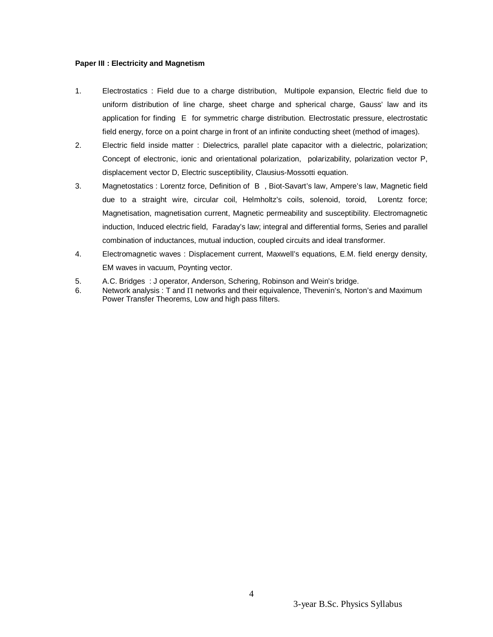## **Paper III : Electricity and Magnetism**

- 1. Electrostatics : Field due to a charge distribution, Multipole expansion, Electric field due to uniform distribution of line charge, sheet charge and spherical charge, Gauss' law and its application for finding E for symmetric charge distribution. Electrostatic pressure, electrostatic field energy, force on a point charge in front of an infinite conducting sheet (method of images).
- 2. Electric field inside matter : Dielectrics, parallel plate capacitor with a dielectric, polarization; Concept of electronic, ionic and orientational polarization, polarizability, polarization vector P, displacement vector D, Electric susceptibility, Clausius-Mossotti equation.
- 3. Magnetostatics : Lorentz force, Definition of B , Biot-Savart's law, Ampere's law, Magnetic field due to a straight wire, circular coil, Helmholtz's coils, solenoid, toroid, Lorentz force; Magnetisation, magnetisation current, Magnetic permeability and susceptibility. Electromagnetic induction, Induced electric field, Faraday's law; integral and differential forms, Series and parallel combination of inductances, mutual induction, coupled circuits and ideal transformer.
- 4. Electromagnetic waves : Displacement current, Maxwell's equations, E.M. field energy density, EM waves in vacuum, Poynting vector.
- 5. A.C. Bridges : J operator, Anderson, Schering, Robinson and Wein's bridge.
- 6. Network analysis : T and  $\Pi$  networks and their equivalence, Thevenin's, Norton's and Maximum Power Transfer Theorems, Low and high pass filters.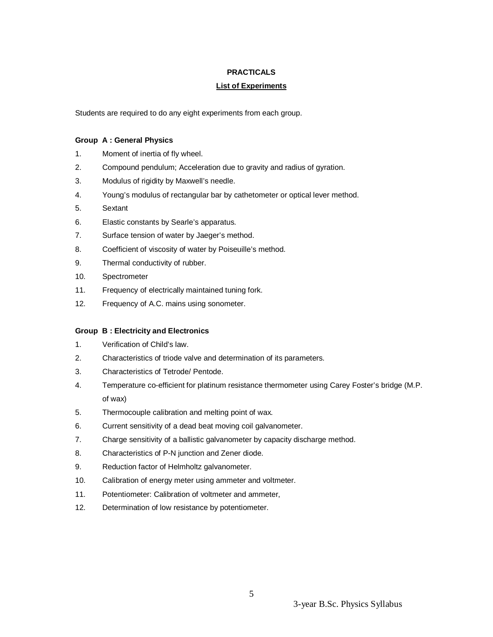## **PRACTICALS**

## **List of Experiments**

Students are required to do any eight experiments from each group.

## **Group A : General Physics**

- 1. Moment of inertia of fly wheel.
- 2. Compound pendulum; Acceleration due to gravity and radius of gyration.
- 3. Modulus of rigidity by Maxwell's needle.
- 4. Young's modulus of rectangular bar by cathetometer or optical lever method.
- 5. Sextant
- 6. Elastic constants by Searle's apparatus.
- 7. Surface tension of water by Jaeger's method.
- 8. Coefficient of viscosity of water by Poiseuille's method.
- 9. Thermal conductivity of rubber.
- 10. Spectrometer
- 11. Frequency of electrically maintained tuning fork.
- 12. Frequency of A.C. mains using sonometer.

## **Group B : Electricity and Electronics**

- 1. Verification of Child's law.
- 2. Characteristics of triode valve and determination of its parameters.
- 3. Characteristics of Tetrode/ Pentode.
- 4. Temperature co-efficient for platinum resistance thermometer using Carey Foster's bridge (M.P. of wax)
- 5. Thermocouple calibration and melting point of wax.
- 6. Current sensitivity of a dead beat moving coil galvanometer.
- 7. Charge sensitivity of a ballistic galvanometer by capacity discharge method.
- 8. Characteristics of P-N junction and Zener diode.
- 9. Reduction factor of Helmholtz galvanometer.
- 10. Calibration of energy meter using ammeter and voltmeter.
- 11. Potentiometer: Calibration of voltmeter and ammeter,
- 12. Determination of low resistance by potentiometer.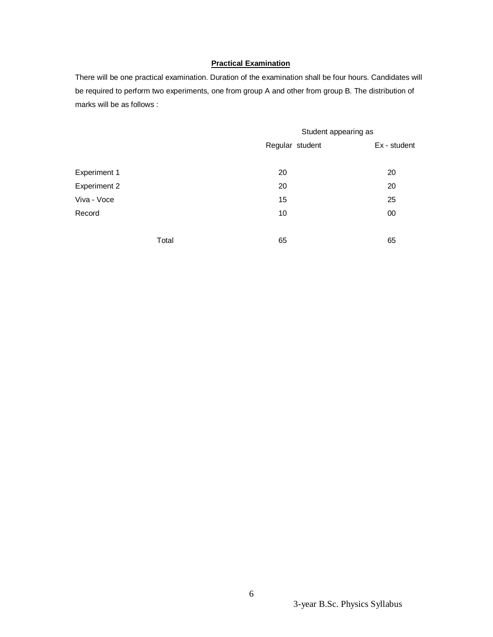## **Practical Examination**

There will be one practical examination. Duration of the examination shall be four hours. Candidates will be required to perform two experiments, one from group A and other from group B. The distribution of marks will be as follows :

|                     | Student appearing as |              |
|---------------------|----------------------|--------------|
|                     | Regular student      | Ex - student |
| <b>Experiment 1</b> | 20                   | 20           |
| <b>Experiment 2</b> | 20                   | 20           |
| Viva - Voce         | 15                   | 25           |
| Record              | 10                   | 00           |
|                     |                      |              |
| Total               | 65                   | 65           |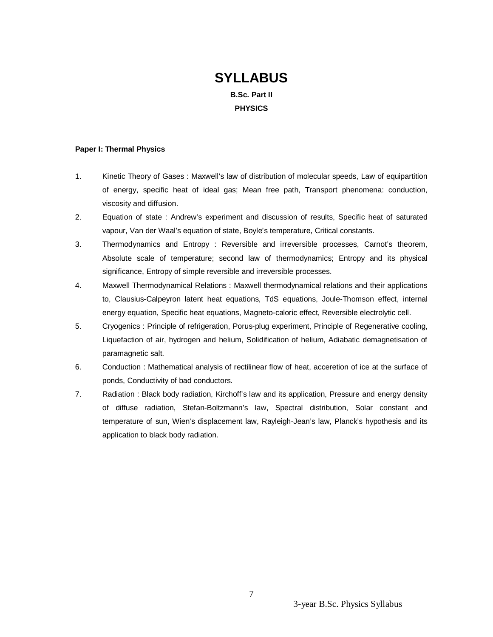# **SYLLABUS B.Sc. Part II PHYSICS**

### **Paper I: Thermal Physics**

- 1. Kinetic Theory of Gases : Maxwell's law of distribution of molecular speeds, Law of equipartition of energy, specific heat of ideal gas; Mean free path, Transport phenomena: conduction, viscosity and diffusion.
- 2. Equation of state : Andrew's experiment and discussion of results, Specific heat of saturated vapour, Van der Waal's equation of state, Boyle's temperature, Critical constants.
- 3. Thermodynamics and Entropy : Reversible and irreversible processes, Carnot's theorem, Absolute scale of temperature; second law of thermodynamics; Entropy and its physical significance, Entropy of simple reversible and irreversible processes.
- 4. Maxwell Thermodynamical Relations : Maxwell thermodynamical relations and their applications to, Clausius-Calpeyron latent heat equations, TdS equations, Joule-Thomson effect, internal energy equation, Specific heat equations, Magneto-caloric effect, Reversible electrolytic cell.
- 5. Cryogenics : Principle of refrigeration, Porus-plug experiment, Principle of Regenerative cooling, Liquefaction of air, hydrogen and helium, Solidification of helium, Adiabatic demagnetisation of paramagnetic salt.
- 6. Conduction : Mathematical analysis of rectilinear flow of heat, acceretion of ice at the surface of ponds, Conductivity of bad conductors.
- 7. Radiation : Black body radiation, Kirchoff's law and its application, Pressure and energy density of diffuse radiation, Stefan-Boltzmann's law, Spectral distribution, Solar constant and temperature of sun, Wien's displacement law, Rayleigh-Jean's law, Planck's hypothesis and its application to black body radiation.

3-year B.Sc. Physics Syllabus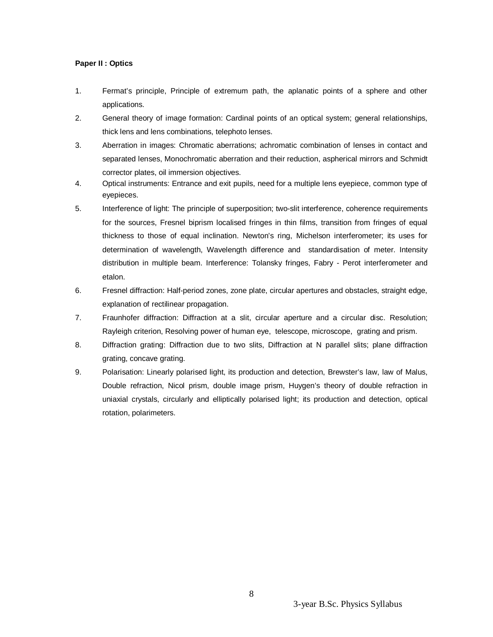## **Paper II : Optics**

- 1. Fermat's principle, Principle of extremum path, the aplanatic points of a sphere and other applications.
- 2. General theory of image formation: Cardinal points of an optical system; general relationships, thick lens and lens combinations, telephoto lenses.
- 3. Aberration in images: Chromatic aberrations; achromatic combination of lenses in contact and separated lenses, Monochromatic aberration and their reduction, aspherical mirrors and Schmidt corrector plates, oil immersion objectives.
- 4. Optical instruments: Entrance and exit pupils, need for a multiple lens eyepiece, common type of eyepieces.
- 5. Interference of light: The principle of superposition; two-slit interference, coherence requirements for the sources, Fresnel biprism localised fringes in thin films, transition from fringes of equal thickness to those of equal inclination. Newton's ring, Michelson interferometer; its uses for determination of wavelength, Wavelength difference and standardisation of meter. Intensity distribution in multiple beam. Interference: Tolansky fringes, Fabry - Perot interferometer and etalon.
- 6. Fresnel diffraction: Half-period zones, zone plate, circular apertures and obstacles, straight edge, explanation of rectilinear propagation.
- 7. Fraunhofer diffraction: Diffraction at a slit, circular aperture and a circular disc. Resolution; Rayleigh criterion, Resolving power of human eye, telescope, microscope, grating and prism.
- 8. Diffraction grating: Diffraction due to two slits, Diffraction at N parallel slits; plane diffraction grating, concave grating.
- 9. Polarisation: Linearly polarised light, its production and detection, Brewster's law, law of Malus, Double refraction, Nicol prism, double image prism, Huygen's theory of double refraction in uniaxial crystals, circularly and elliptically polarised light; its production and detection, optical rotation, polarimeters.

3-year B.Sc. Physics Syllabus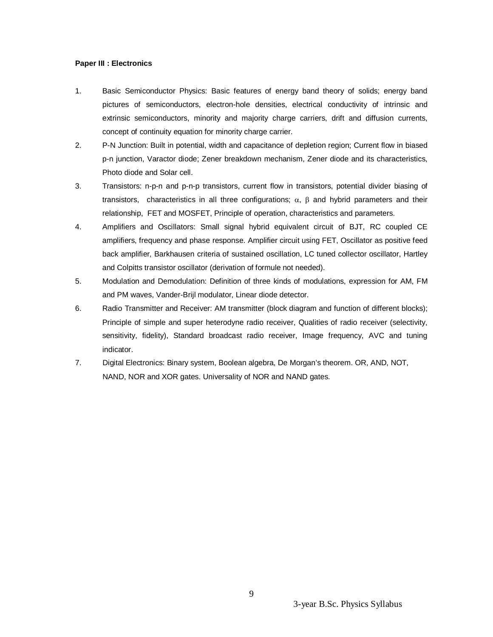## **Paper III : Electronics**

- 1. Basic Semiconductor Physics: Basic features of energy band theory of solids; energy band pictures of semiconductors, electron-hole densities, electrical conductivity of intrinsic and extrinsic semiconductors, minority and majority charge carriers, drift and diffusion currents, concept of continuity equation for minority charge carrier.
- 2. P-N Junction: Built in potential, width and capacitance of depletion region; Current flow in biased p-n junction, Varactor diode; Zener breakdown mechanism, Zener diode and its characteristics, Photo diode and Solar cell.
- 3. Transistors: n-p-n and p-n-p transistors, current flow in transistors, potential divider biasing of transistors, characteristics in all three configurations;  $\alpha$ ,  $\beta$  and hybrid parameters and their relationship, FET and MOSFET, Principle of operation, characteristics and parameters.
- 4. Amplifiers and Oscillators: Small signal hybrid equivalent circuit of BJT, RC coupled CE amplifiers, frequency and phase response. Amplifier circuit using FET, Oscillator as positive feed back amplifier, Barkhausen criteria of sustained oscillation, LC tuned collector oscillator, Hartley and Colpitts transistor oscillator (derivation of formule not needed).
- 5. Modulation and Demodulation: Definition of three kinds of modulations, expression for AM, FM and PM waves, Vander-Brijl modulator, Linear diode detector.
- 6. Radio Transmitter and Receiver: AM transmitter (block diagram and function of different blocks); Principle of simple and super heterodyne radio receiver, Qualities of radio receiver (selectivity, sensitivity, fidelity), Standard broadcast radio receiver, Image frequency, AVC and tuning indicator.
- 7. Digital Electronics: Binary system, Boolean algebra, De Morgan's theorem. OR, AND, NOT, NAND, NOR and XOR gates. Universality of NOR and NAND gates.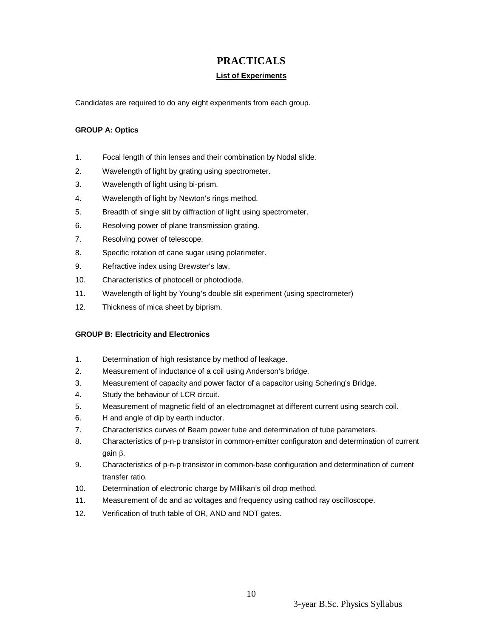## **PRACTICALS**

## **List of Experiments**

Candidates are required to do any eight experiments from each group.

## **GROUP A: Optics**

- 1. Focal length of thin lenses and their combination by Nodal slide.
- 2. Wavelength of light by grating using spectrometer.
- 3. Wavelength of light using bi-prism.
- 4. Wavelength of light by Newton's rings method.
- 5. Breadth of single slit by diffraction of light using spectrometer.
- 6. Resolving power of plane transmission grating.
- 7. Resolving power of telescope.
- 8. Specific rotation of cane sugar using polarimeter.
- 9. Refractive index using Brewster's law.
- 10. Characteristics of photocell or photodiode.
- 11. Wavelength of light by Young's double slit experiment (using spectrometer)
- 12. Thickness of mica sheet by biprism.

## **GROUP B: Electricity and Electronics**

- 1. Determination of high resistance by method of leakage.
- 2. Measurement of inductance of a coil using Anderson's bridge.
- 3. Measurement of capacity and power factor of a capacitor using Schering's Bridge.
- 4. Study the behaviour of LCR circuit.
- 5. Measurement of magnetic field of an electromagnet at different current using search coil.
- 6. H and angle of dip by earth inductor.
- 7. Characteristics curves of Beam power tube and determination of tube parameters.
- 8. Characteristics of p-n-p transistor in common-emitter configuraton and determination of current gain  $\beta$ .
- 9. Characteristics of p-n-p transistor in common-base configuration and determination of current transfer ratio.
- 10. Determination of electronic charge by Millikan's oil drop method.
- 11. Measurement of dc and ac voltages and frequency using cathod ray oscilloscope.
- 12. Verification of truth table of OR, AND and NOT gates.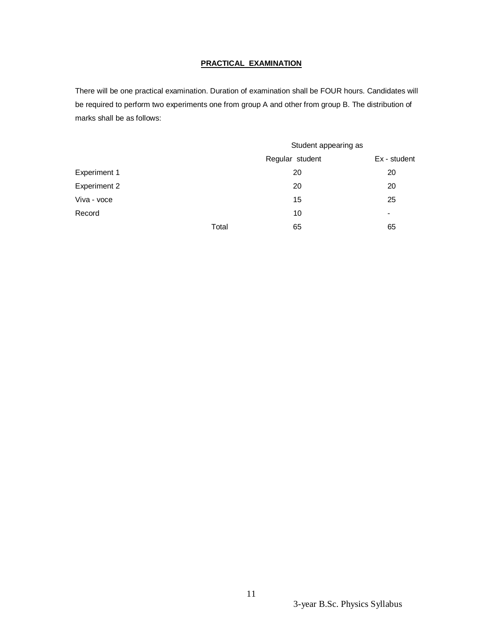## **PRACTICAL EXAMINATION**

There will be one practical examination. Duration of examination shall be FOUR hours. Candidates will be required to perform two experiments one from group A and other from group B. The distribution of marks shall be as follows:

|                     |       | Student appearing as |                |
|---------------------|-------|----------------------|----------------|
|                     |       | Regular student      | Ex - student   |
| Experiment 1        |       | 20                   | 20             |
| <b>Experiment 2</b> |       | 20                   | 20             |
| Viva - voce         |       | 15                   | 25             |
| Record              |       | 10                   | $\blacksquare$ |
|                     | Total | 65                   | 65             |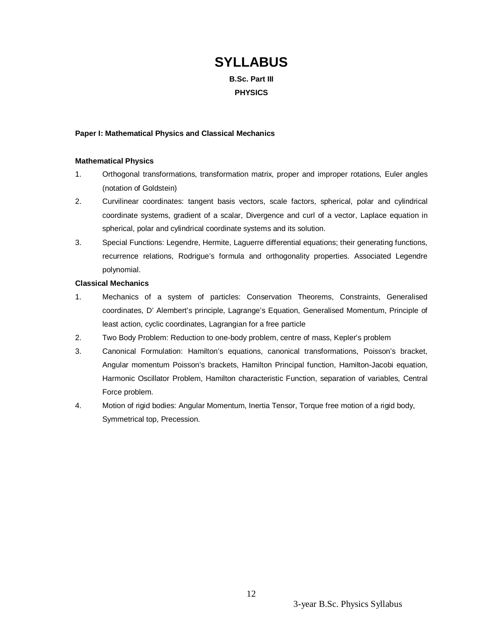# **SYLLABUS**

**B.Sc. Part III PHYSICS**

## **Paper I: Mathematical Physics and Classical Mechanics**

## **Mathematical Physics**

- 1. Orthogonal transformations, transformation matrix, proper and improper rotations, Euler angles (notation of Goldstein)
- 2. Curvilinear coordinates: tangent basis vectors, scale factors, spherical, polar and cylindrical coordinate systems, gradient of a scalar, Divergence and curl of a vector, Laplace equation in spherical, polar and cylindrical coordinate systems and its solution.
- 3. Special Functions: Legendre, Hermite, Laguerre differential equations; their generating functions, recurrence relations, Rodrigue's formula and orthogonality properties. Associated Legendre polynomial.

## **Classical Mechanics**

- 1. Mechanics of a system of particles: Conservation Theorems, Constraints, Generalised coordinates, D' Alembert's principle, Lagrange's Equation, Generalised Momentum, Principle of least action, cyclic coordinates, Lagrangian for a free particle
- 2. Two Body Problem: Reduction to one-body problem, centre of mass, Kepler's problem
- 3. Canonical Formulation: Hamilton's equations, canonical transformations, Poisson's bracket, Angular momentum Poisson's brackets, Hamilton Principal function, Hamilton-Jacobi equation, Harmonic Oscillator Problem, Hamilton characteristic Function, separation of variables, Central Force problem.
- 4. Motion of rigid bodies: Angular Momentum, Inertia Tensor, Torque free motion of a rigid body, Symmetrical top, Precession.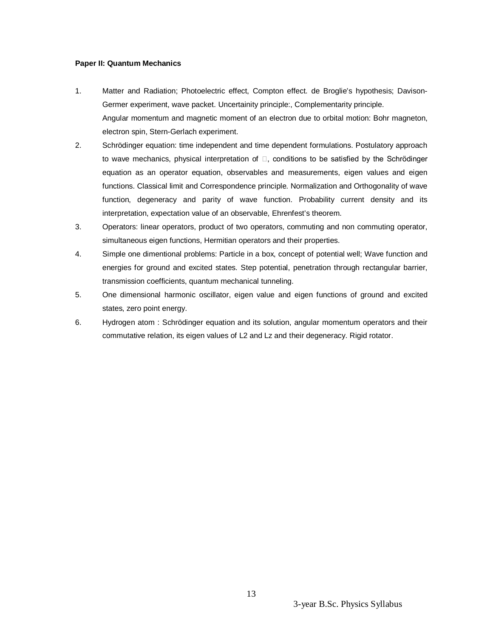## **Paper II: Quantum Mechanics**

- 1. Matter and Radiation; Photoelectric effect, Compton effect. de Broglie's hypothesis; Davison-Germer experiment, wave packet. Uncertainity principle:, Complementarity principle. Angular momentum and magnetic moment of an electron due to orbital motion: Bohr magneton, electron spin, Stern-Gerlach experiment.
- 2. Schrödinger equation: time independent and time dependent formulations. Postulatory approach to wave mechanics, physical interpretation of  $\square$ , conditions to be satisfied by the Schrödinger equation as an operator equation, observables and measurements, eigen values and eigen functions. Classical limit and Correspondence principle. Normalization and Orthogonality of wave function, degeneracy and parity of wave function. Probability current density and its interpretation, expectation value of an observable, Ehrenfest's theorem.
- 3. Operators: linear operators, product of two operators, commuting and non commuting operator, simultaneous eigen functions, Hermitian operators and their properties.
- 4. Simple one dimentional problems: Particle in a box, concept of potential well; Wave function and energies for ground and excited states. Step potential, penetration through rectangular barrier, transmission coefficients, quantum mechanical tunneling.
- 5. One dimensional harmonic oscillator, eigen value and eigen functions of ground and excited states, zero point energy.
- 6. Hydrogen atom : Schrödinger equation and its solution, angular momentum operators and their commutative relation, its eigen values of L2 and Lz and their degeneracy. Rigid rotator.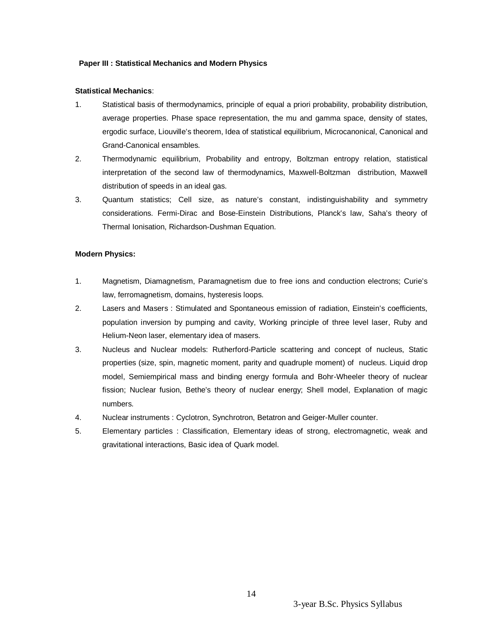## **Paper III : Statistical Mechanics and Modern Physics**

## **Statistical Mechanics**:

- 1. Statistical basis of thermodynamics, principle of equal a priori probability, probability distribution, average properties. Phase space representation, the mu and gamma space, density of states, ergodic surface, Liouville's theorem, Idea of statistical equilibrium, Microcanonical, Canonical and Grand-Canonical ensambles.
- 2. Thermodynamic equilibrium, Probability and entropy, Boltzman entropy relation, statistical interpretation of the second law of thermodynamics, Maxwell-Boltzman distribution, Maxwell distribution of speeds in an ideal gas.
- 3. Quantum statistics; Cell size, as nature's constant, indistinguishability and symmetry considerations. Fermi-Dirac and Bose-Einstein Distributions, Planck's law, Saha's theory of Thermal Ionisation, Richardson-Dushman Equation.

## **Modern Physics:**

- 1. Magnetism, Diamagnetism, Paramagnetism due to free ions and conduction electrons; Curie's law, ferromagnetism, domains, hysteresis loops.
- 2. Lasers and Masers : Stimulated and Spontaneous emission of radiation, Einstein's coefficients, population inversion by pumping and cavity, Working principle of three level laser, Ruby and Helium-Neon laser, elementary idea of masers.
- 3. Nucleus and Nuclear models: Rutherford-Particle scattering and concept of nucleus, Static properties (size, spin, magnetic moment, parity and quadruple moment) of nucleus. Liquid drop model, Semiempirical mass and binding energy formula and Bohr-Wheeler theory of nuclear fission; Nuclear fusion, Bethe's theory of nuclear energy; Shell model, Explanation of magic numbers.
- 4. Nuclear instruments : Cyclotron, Synchrotron, Betatron and Geiger-Muller counter.
- 5. Elementary particles : Classification, Elementary ideas of strong, electromagnetic, weak and gravitational interactions, Basic idea of Quark model.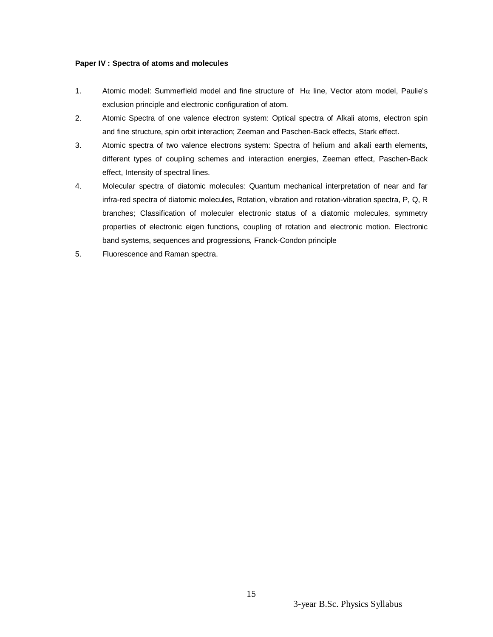## **Paper IV : Spectra of atoms and molecules**

- 1. Atomic model: Summerfield model and fine structure of  $H\alpha$  line, Vector atom model, Paulie's exclusion principle and electronic configuration of atom.
- 2. Atomic Spectra of one valence electron system: Optical spectra of Alkali atoms, electron spin and fine structure, spin orbit interaction; Zeeman and Paschen-Back effects, Stark effect.
- 3. Atomic spectra of two valence electrons system: Spectra of helium and alkali earth elements, different types of coupling schemes and interaction energies, Zeeman effect, Paschen-Back effect, Intensity of spectral lines.
- 4. Molecular spectra of diatomic molecules: Quantum mechanical interpretation of near and far infra-red spectra of diatomic molecules, Rotation, vibration and rotation-vibration spectra, P, Q, R branches; Classification of moleculer electronic status of a diatomic molecules, symmetry properties of electronic eigen functions, coupling of rotation and electronic motion. Electronic band systems, sequences and progressions, Franck-Condon principle
- 5. Fluorescence and Raman spectra.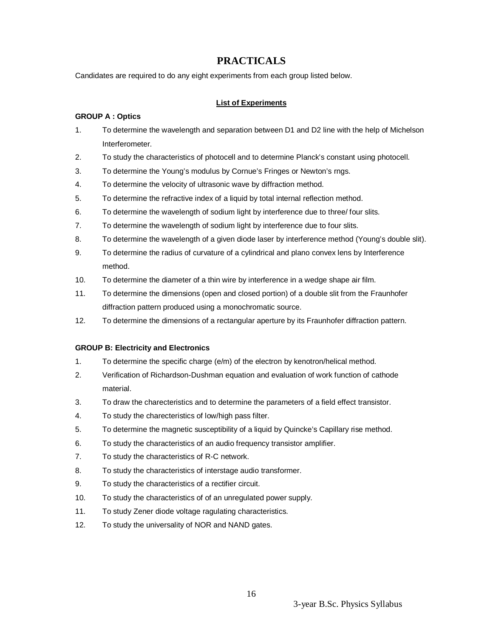## **PRACTICALS**

Candidates are required to do any eight experiments from each group listed below.

## **List of Experiments**

## **GROUP A : Optics**

- 1. To determine the wavelength and separation between D1 and D2 line with the help of Michelson Interferometer.
- 2. To study the characteristics of photocell and to determine Planck's constant using photocell.
- 3. To determine the Young's modulus by Cornue's Fringes or Newton's rngs.
- 4. To determine the velocity of ultrasonic wave by diffraction method.
- 5. To determine the refractive index of a liquid by total internal reflection method.
- 6. To determine the wavelength of sodium light by interference due to three/ four slits.
- 7. To determine the wavelength of sodium light by interference due to four slits.
- 8. To determine the wavelength of a given diode laser by interference method (Young's double slit).
- 9. To determine the radius of curvature of a cylindrical and plano convex lens by Interference method.
- 10. To determine the diameter of a thin wire by interference in a wedge shape air film.
- 11. To determine the dimensions (open and closed portion) of a double slit from the Fraunhofer diffraction pattern produced using a monochromatic source.
- 12. To determine the dimensions of a rectangular aperture by its Fraunhofer diffraction pattern.

## **GROUP B: Electricity and Electronics**

- 1. To determine the specific charge (e/m) of the electron by kenotron/helical method.
- 2. Verification of Richardson-Dushman equation and evaluation of work function of cathode material.
- 3. To draw the charecteristics and to determine the parameters of a field effect transistor.
- 4. To study the charecteristics of low/high pass filter.
- 5. To determine the magnetic susceptibility of a liquid by Quincke's Capillary rise method.
- 6. To study the characteristics of an audio frequency transistor amplifier.
- 7. To study the characteristics of R-C network.
- 8. To study the characteristics of interstage audio transformer.
- 9. To study the characteristics of a rectifier circuit.
- 10. To study the characteristics of of an unregulated power supply.
- 11. To study Zener diode voltage ragulating characteristics.
- 12. To study the universality of NOR and NAND gates.